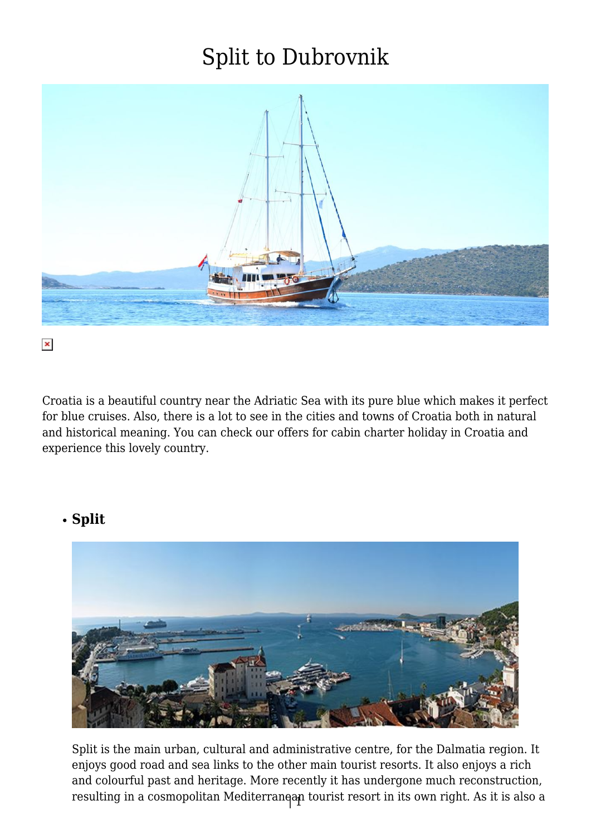

Croatia is a beautiful country near the Adriatic Sea with its pure blue which makes it perfect for blue cruises. Also, there is a lot to see in the cities and towns of Croatia both in natural and historical meaning. You can check our offers for cabin charter holiday in Croatia and experience this lovely country.

#### **Split**



resulting in a cosmopolitan Mediterranean tourist resort in its own right. As it is also a Split is the main urban, cultural and administrative centre, for the Dalmatia region. It enjoys good road and sea links to the other main tourist resorts. It also enjoys a rich and colourful past and heritage. More recently it has undergone much reconstruction,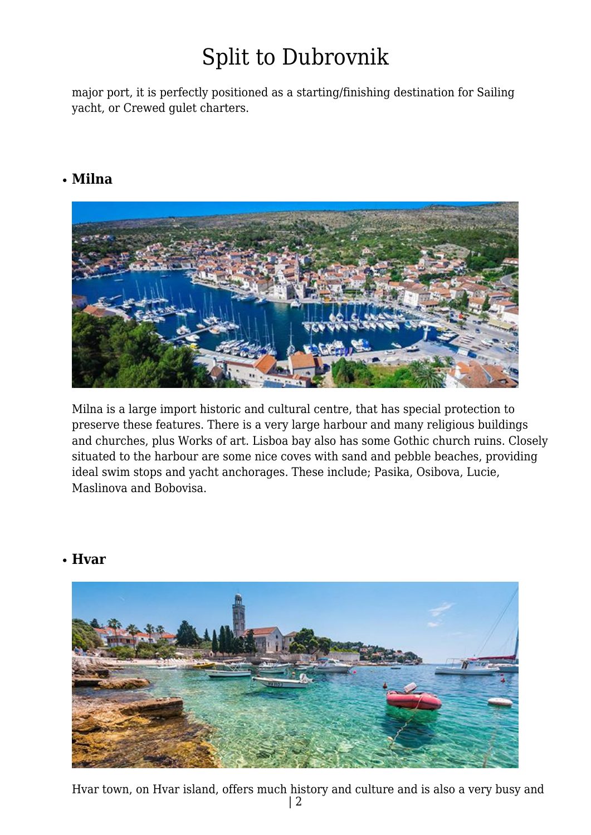major port, it is perfectly positioned as a starting/finishing destination for Sailing yacht, or Crewed gulet charters.

#### **Milna**



Milna is a large import historic and cultural centre, that has special protection to preserve these features. There is a very large harbour and many religious buildings and churches, plus Works of art. Lisboa bay also has some Gothic church ruins. Closely situated to the harbour are some nice coves with sand and pebble beaches, providing ideal swim stops and yacht anchorages. These include; Pasika, Osibova, Lucie, Maslinova and Bobovisa.

#### **Hvar**



| 2 Hvar town, on Hvar island, offers much history and culture and is also a very busy and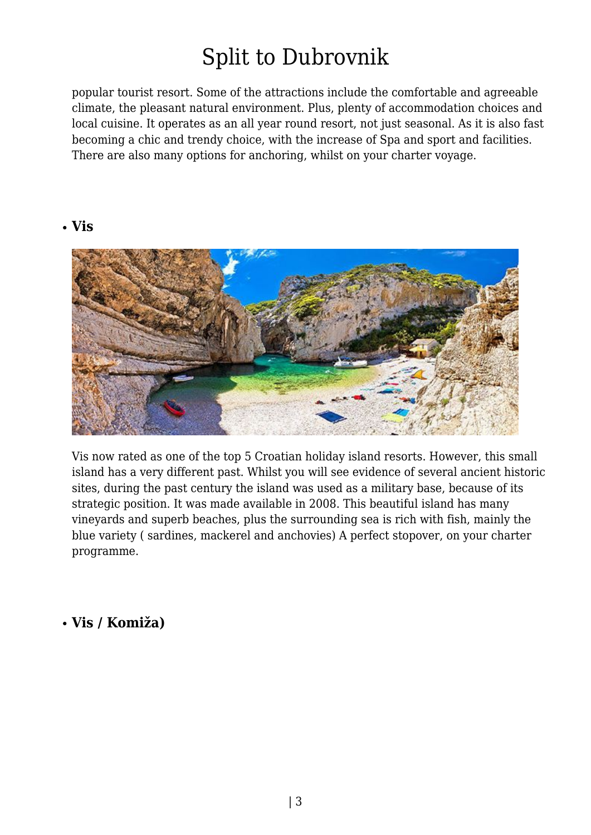popular tourist resort. Some of the attractions include the comfortable and agreeable climate, the pleasant natural environment. Plus, plenty of accommodation choices and local cuisine. It operates as an all year round resort, not just seasonal. As it is also fast becoming a chic and trendy choice, with the increase of Spa and sport and facilities. There are also many options for anchoring, whilst on your charter voyage.

#### **Vis**



Vis now rated as one of the top 5 Croatian holiday island resorts. However, this small island has a very different past. Whilst you will see evidence of several ancient historic sites, during the past century the island was used as a military base, because of its strategic position. It was made available in 2008. This beautiful island has many vineyards and superb beaches, plus the surrounding sea is rich with fish, mainly the blue variety ( sardines, mackerel and anchovies) A perfect stopover, on your charter programme.

#### **Vis / Komiža)**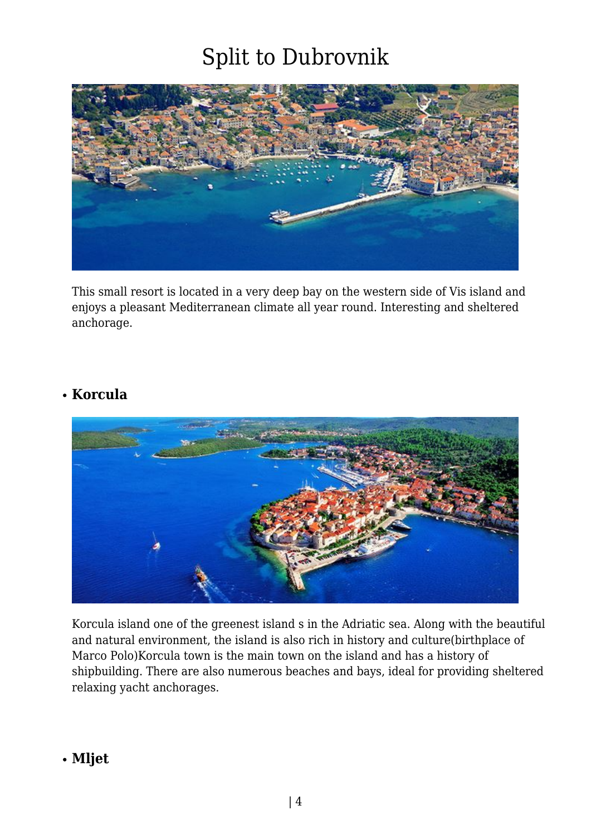

This small resort is located in a very deep bay on the western side of Vis island and enjoys a pleasant Mediterranean climate all year round. Interesting and sheltered anchorage.

#### **Korcula**



Korcula island one of the greenest island s in the Adriatic sea. Along with the beautiful and natural environment, the island is also rich in history and culture(birthplace of Marco Polo)Korcula town is the main town on the island and has a history of shipbuilding. There are also numerous beaches and bays, ideal for providing sheltered relaxing yacht anchorages.

#### **Mljet**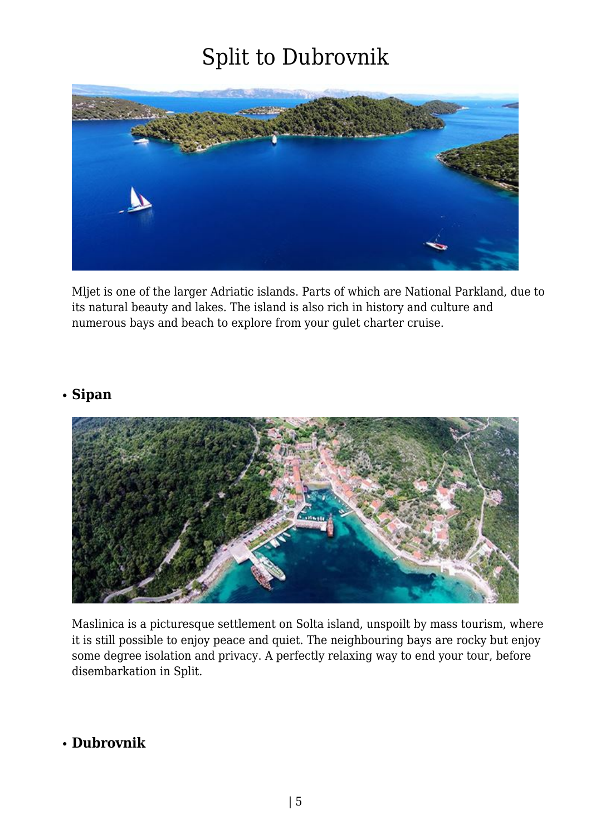

Mljet is one of the larger Adriatic islands. Parts of which are National Parkland, due to its natural beauty and lakes. The island is also rich in history and culture and numerous bays and beach to explore from your gulet charter cruise.

#### **Sipan**



Maslinica is a picturesque settlement on Solta island, unspoilt by mass tourism, where it is still possible to enjoy peace and quiet. The neighbouring bays are rocky but enjoy some degree isolation and privacy. A perfectly relaxing way to end your tour, before disembarkation in Split.

#### **Dubrovnik**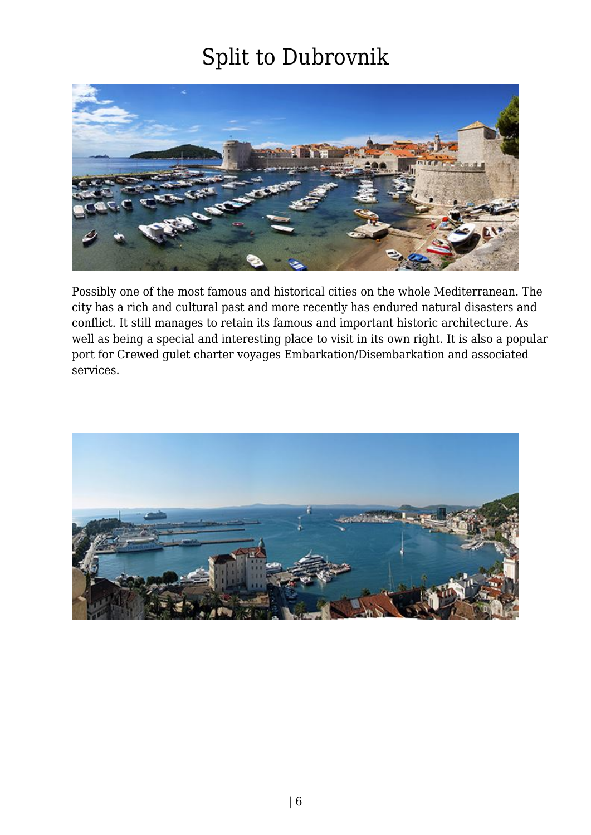

Possibly one of the most famous and historical cities on the whole Mediterranean. The city has a rich and cultural past and more recently has endured natural disasters and conflict. It still manages to retain its famous and important historic architecture. As well as being a special and interesting place to visit in its own right. It is also a popular port for Crewed gulet charter voyages Embarkation/Disembarkation and associated services.

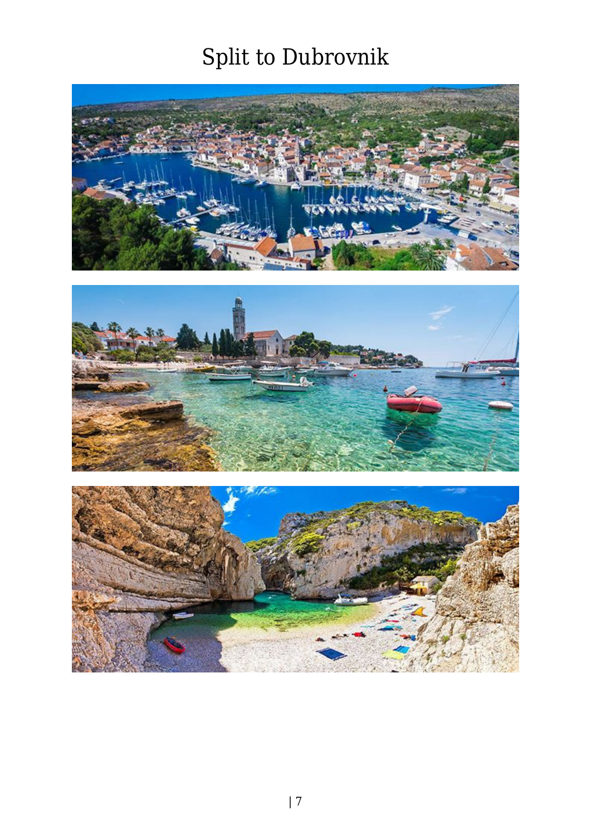



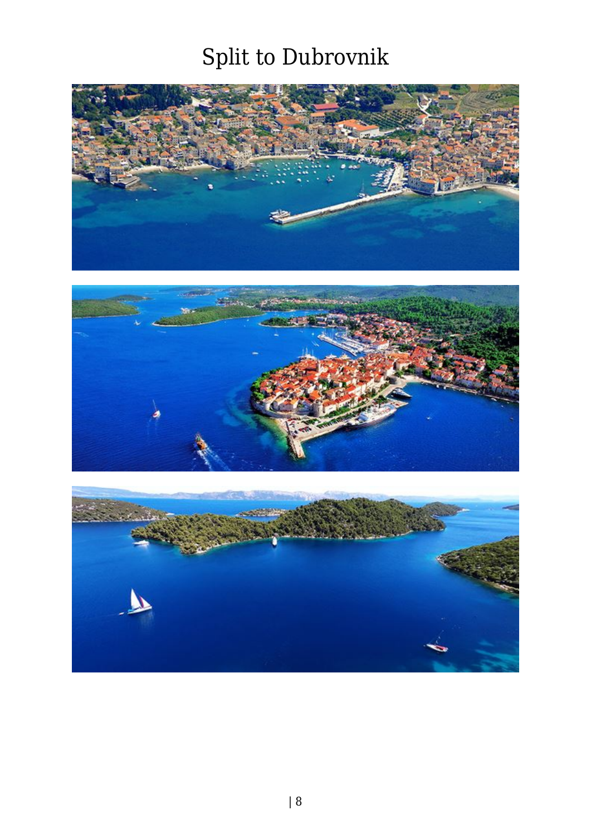